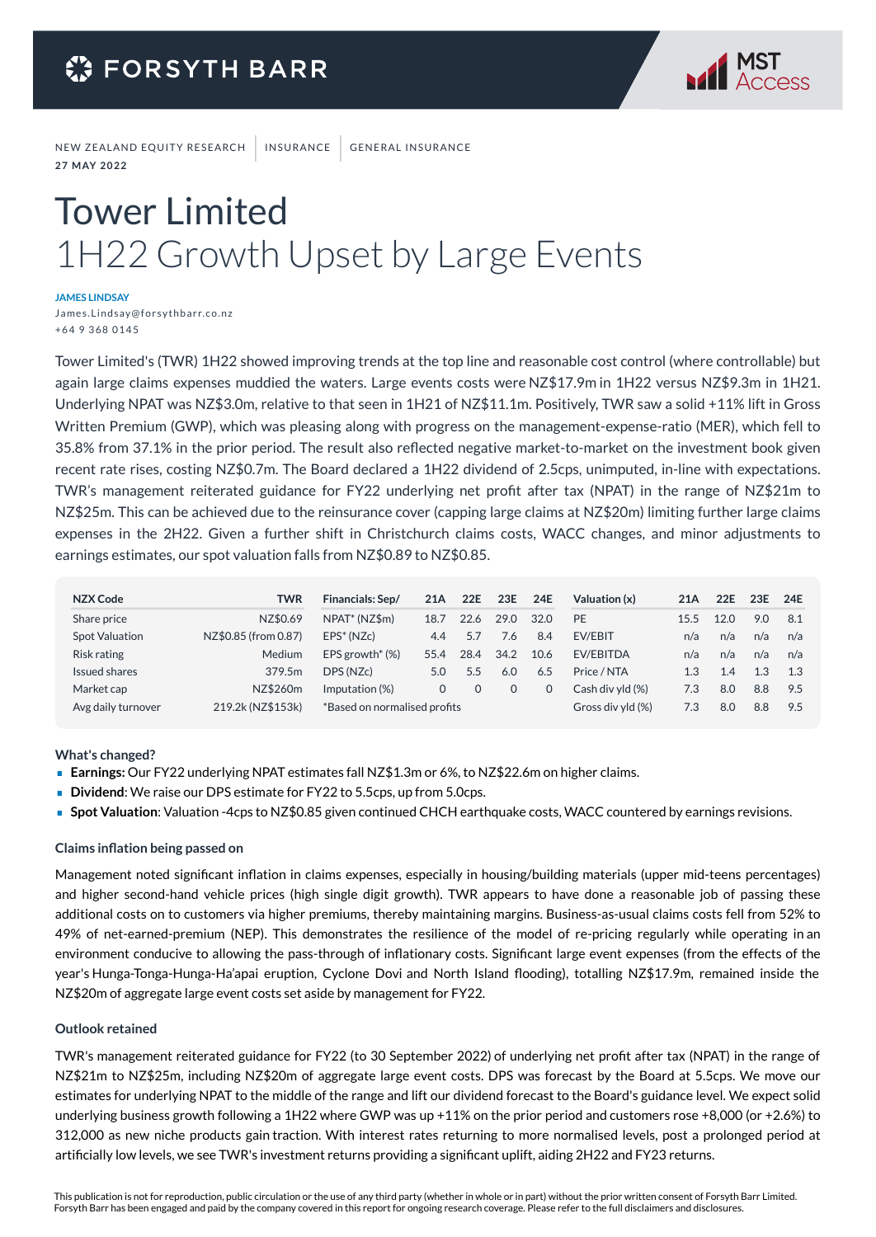

NEW ZEALAND EQUITY RESEARCH | INSURANCE | GENERAL INSURANCE **2 7 M AY 2 0 2 2**

# Tower Limited 1H22 Growth Upset by Large Events

**JAMES LINDSAY**

James. Linds ay@forsythbarr.co.nz + 64 9 368 0145

Tower Limited's (TWR) 1H22 showed improving trends at the top line and reasonable cost control (where controllable) but again large claims expenses muddied the waters. Large events costs were NZ\$17.9m in 1H22 versus NZ\$9.3m in 1H21. Underlying NPAT was NZ\$3.0m, relative to that seen in 1H21 of NZ\$11.1m. Positively, TWR saw a solid +11% lift in Gross Written Premium (GWP), which was pleasing along with progress on the management-expense-ratio (MER), which fell to 35.8% from 37.1% in the prior period. The result also reflected negative market-to-market on the investment book given recent rate rises, costing NZ\$0.7m. The Board declared a 1H22 dividend of 2.5cps, unimputed, in-line with expectations. TWR's management reiterated guidance for FY22 underlying net profit after tax (NPAT) in the range of NZ\$21m to NZ\$25m. This can be achieved due to the reinsurance cover (capping large claims at NZ\$20m) limiting further large claims expenses in the 2H22. Given a further shift in Christchurch claims costs, WACC changes, and minor adjustments to earnings estimates, our spot valuation falls from NZ\$0.89 to NZ\$0.85.

| NZX Code              | <b>TWR</b>           | Financials: Sep/             | 21A  | 22E  | 23E      | 24E  | Valuation (x)     | 21A  | 22E  | 23E | 24E |
|-----------------------|----------------------|------------------------------|------|------|----------|------|-------------------|------|------|-----|-----|
| Share price           | NZ\$0.69             | NPAT <sup>*</sup> (NZ\$m)    | 18.7 | 22.6 | 29.0     | 32.0 | PE                | 15.5 | 12.0 | 9.0 | 8.1 |
| <b>Spot Valuation</b> | NZ\$0.85 (from 0.87) | $EPS* (NZc)$                 | 4.4  | 5.7  | 7.6      | 8.4  | EV/EBIT           | n/a  | n/a  | n/a | n/a |
| Risk rating           | <b>Medium</b>        | EPS growth $*(\%)$           | 55.4 | 28.4 | 34.2     | 10.6 | <b>EV/EBITDA</b>  | n/a  | n/a  | n/a | n/a |
| Issued shares         | 379.5m               | DPS (NZc)                    | 5.0  | 5.5  | 6.0      | 6.5  | Price / NTA       | 1.3  | 1.4  | 1.3 | 1.3 |
| Market cap            | NZ\$260m             | Imputation (%)               | 0    |      | $\Omega$ |      | Cash div vld (%)  | 7.3  | 8.0  | 8.8 | 9.5 |
| Avg daily turnover    | 219.2k (NZ\$153k)    | *Based on normalised profits |      |      |          |      | Gross div yld (%) | 7.3  | 8.0  | 8.8 | 9.5 |

**What's changed?**

- **Earnings:** Our FY22 underlying NPAT estimates fall NZ\$1.3m or 6%, to NZ\$22.6m on higher claims.
- **Dividend:** We raise our DPS estimate for FY22 to 5.5cps, up from 5.0cps.
- **Spot Valuation**: Valuation -4cps to NZ\$0.85 given continued CHCH earthquake costs, WACC countered by earnings revisions.

#### **Claims inflation being passed on**

Management noted significant inflation in claims expenses, especially in housing/building materials (upper mid-teens percentages) and higher second-hand vehicle prices (high single digit growth). TWR appears to have done a reasonable job of passing these additional costs on to customers via higher premiums, thereby maintaining margins. Business-as-usual claims costs fell from 52% to 49% of net-earned-premium (NEP). This demonstrates the resilience of the model of re-pricing regularly while operating in an environment conducive to allowing the pass-through of inflationary costs. Significant large event expenses (from the effects of the year's Hunga-Tonga-Hunga-Ha'apai eruption, Cyclone Dovi and North Island flooding), totalling NZ\$17.9m, remained inside the NZ\$20m of aggregate large event costs set aside by management for FY22.

#### **Outlook retained**

TWR's management reiterated guidance for FY22 (to 30 September 2022) of underlying net profit after tax (NPAT) in the range of NZ\$21m to NZ\$25m, including NZ\$20m of aggregate large event costs. DPS was forecast by the Board at 5.5cps. We move our estimates for underlying NPAT to the middle of the range and lift our dividend forecast to the Board's guidance level. We expect solid underlying business growth following a 1H22 where GWP was up +11% on the prior period and customers rose +8,000 (or +2.6%) to 312,000 as new niche products gain traction. With interest rates returning to more normalised levels, post a prolonged period at artificially low levels, we see TWR's investment returns providing a significant uplift, aiding 2H22 and FY23 returns.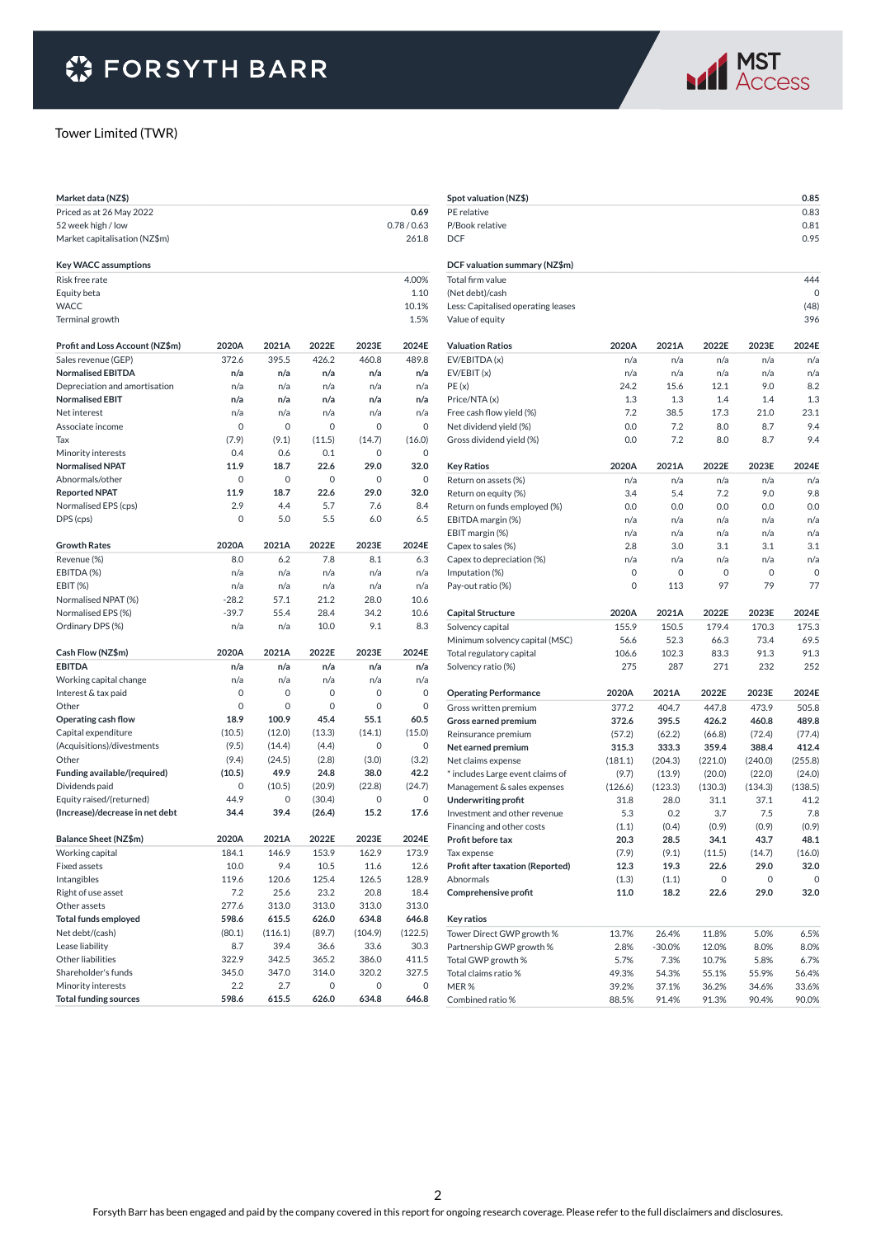

#### Tower Limited (TWR)

| Market data (NZ\$)              |         |         |        |         |           |
|---------------------------------|---------|---------|--------|---------|-----------|
| Priced as at 26 May 2022        |         |         |        |         | 0.69      |
| 52 week high / low              |         |         |        |         | 0.78/0.63 |
| Market capitalisation (NZ\$m)   |         |         |        |         | 261.8     |
|                                 |         |         |        |         |           |
| <b>Key WACC assumptions</b>     |         |         |        |         |           |
| Risk free rate                  |         |         |        |         | 4.00%     |
| Equity beta                     |         |         |        |         | 1.10      |
| <b>WACC</b>                     |         |         |        |         | 10.1%     |
| Terminal growth                 |         |         |        |         | 1.5%      |
| Profit and Loss Account (NZ\$m) | 2020A   | 2021A   | 2022E  | 2023E   | 2024E     |
| Sales revenue (GEP)             | 372.6   | 395.5   | 426.2  | 460.8   | 489.8     |
| <b>Normalised EBITDA</b>        | n/a     | n/a     | n/a    | n/a     | n/a       |
| Depreciation and amortisation   | n/a     | n/a     | n/a    | n/a     | n/a       |
| <b>Normalised EBIT</b>          | n/a     | n/a     | n/a    | n/a     | n/a       |
| Net interest                    | n/a     | n/a     | n/a    | n/a     | n/a       |
| Associate income                | 0       | 0       | 0      | 0       | 0         |
| Tax                             | (7.9)   | (9.1)   | (11.5) | (14.7)  | (16.0)    |
| Minority interests              | 0.4     | 0.6     | 0.1    | 0       | 0         |
| <b>Normalised NPAT</b>          | 11.9    | 18.7    | 22.6   | 29.0    | 32.0      |
| Abnormals/other                 | 0       | 0       | 0      | 0       | 0         |
| <b>Reported NPAT</b>            | 11.9    | 18.7    | 22.6   | 29.0    | 32.0      |
| Normalised EPS (cps)            | 2.9     | 4.4     | 5.7    | 7.6     | 8.4       |
| DPS (cps)                       | 0       | 5.0     | 5.5    | 6.0     | 6.5       |
| <b>Growth Rates</b>             | 2020A   | 2021A   | 2022E  | 2023E   | 2024E     |
| Revenue (%)                     | 8.0     | 6.2     | 7.8    | 8.1     | 6.3       |
| EBITDA (%)                      | n/a     | n/a     | n/a    | n/a     | n/a       |
| EBIT (%)                        | n/a     | n/a     | n/a    | n/a     | n/a       |
| Normalised NPAT (%)             | $-28.2$ | 57.1    | 21.2   | 28.0    | 10.6      |
| Normalised EPS (%)              | $-39.7$ | 55.4    | 28.4   | 34.2    | 10.6      |
| Ordinary DPS (%)                | n/a     | n/a     | 10.0   | 9.1     | 8.3       |
|                                 |         |         |        |         |           |
| Cash Flow (NZ\$m)               | 2020A   | 2021A   | 2022E  | 2023E   | 2024E     |
| <b>EBITDA</b>                   | n/a     | n/a     | n/a    | n/a     | n/a       |
| Working capital change          | n/a     | n/a     | n/a    | n/a     | n/a       |
| Interest & tax paid             | 0       | 0       | 0      | 0       | 0         |
| Other                           | 0       | 0       | 0      | 0       | 0         |
| Operating cash flow             | 18.9    | 100.9   | 45.4   | 55.1    | 60.5      |
| Capital expenditure             | (10.5)  | (12.0)  | (13.3) | (14.1)  | (15.0)    |
| (Acquisitions)/divestments      | (9.5)   | (14.4)  | (4.4)  | 0       | 0         |
| Other                           | (9.4)   | (24.5)  | (2.8)  | (3.0)   | (3.2)     |
| Funding available/(required)    | (10.5)  | 49.9    | 24.8   | 38.0    | 42.2      |
| Dividends paid                  | 0       | (10.5)  | (20.9) | (22.8)  | (24.7)    |
| Equity raised/(returned)        | 44.9    | 0       | (30.4) | 0       | 0         |
| (Increase)/decrease in net debt | 34.4    | 39.4    | (26.4) | 15.2    | 17.6      |
| Balance Sheet (NZ\$m)           | 2020A   | 2021A   | 2022E  | 2023E   | 2024E     |
| Working capital                 | 184.1   | 146.9   | 153.9  | 162.9   | 173.9     |
| <b>Fixed assets</b>             | 10.0    | 9.4     | 10.5   | 11.6    | 12.6      |
| Intangibles                     | 119.6   | 120.6   | 125.4  | 126.5   | 128.9     |
| Right of use asset              | 7.2     | 25.6    | 23.2   | 20.8    | 18.4      |
| Other assets                    | 277.6   | 313.0   | 313.0  | 313.0   | 313.0     |
| <b>Total funds employed</b>     | 598.6   | 615.5   | 626.0  | 634.8   | 646.8     |
| Net debt/(cash)                 | (80.1)  | (116.1) | (89.7) | (104.9) | (122.5)   |
| Lease liability                 | 8.7     | 39.4    | 36.6   | 33.6    | 30.3      |
| Other liabilities               | 322.9   | 342.5   | 365.2  | 386.0   | 411.5     |
| Shareholder's funds             | 345.0   | 347.0   | 314.0  | 320.2   | 327.5     |
| Minority interests              | 2.2     | 2.7     | 0      | 0       | 0         |
| <b>Total funding sources</b>    | 598.6   | 615.5   | 626.0  | 634.8   | 646.8     |

| Spot valuation (NZ\$)              |             |              |             |         | 0.85      |
|------------------------------------|-------------|--------------|-------------|---------|-----------|
| PE relative                        |             |              |             |         | 0.83      |
| P/Book relative                    |             |              |             |         | 0.81      |
| <b>DCF</b>                         |             |              |             |         | 0.95      |
|                                    |             |              |             |         |           |
| DCF valuation summary (NZ\$m)      |             |              |             |         |           |
| Total firm value                   |             |              |             |         | 444       |
| (Net debt)/cash                    |             |              |             |         | 0         |
| Less: Capitalised operating leases |             |              |             |         | (48)      |
| Value of equity                    |             |              |             |         | 396       |
| <b>Valuation Ratios</b>            | 2020A       | 2021A        | 2022E       | 2023E   | 2024E     |
| EV/EBITDA (x)                      | n/a         | n/a          | n/a         | n/a     | n/a       |
| EV/EBIT(x)                         | n/a         | n/a          | n/a         | n/a     | n/a       |
| PE(x)                              | 24.2        | 15.6         | 12.1        | 9.0     | 8.2       |
| Price/NTA(x)                       | 1.3         | 1.3          | 1.4         | 1.4     | 1.3       |
| Free cash flow yield (%)           | 7.2         | 38.5         | 17.3        | 21.0    | 23.1      |
| Net dividend yield (%)             | 0.0         | 7.2          | 8.0         | 8.7     | 9.4       |
| Gross dividend yield (%)           | 0.0         | 7.2          | 8.0         | 8.7     | 9.4       |
| <b>Key Ratios</b>                  | 2020A       | 2021A        | 2022E       | 2023E   | 2024E     |
| Return on assets (%)               | n/a         | n/a          | n/a         | n/a     | n/a       |
| Return on equity (%)               | 3.4         | 5.4          | 7.2         | 9.0     | 9.8       |
| Return on funds employed (%)       | 0.0         | 0.0          | 0.0         | 0.0     | 0.0       |
| EBITDA margin (%)                  | n/a         | n/a          | n/a         | n/a     | n/a       |
| EBIT margin (%)                    | n/a         | n/a          | n/a         | n/a     | n/a       |
| Capex to sales (%)                 | 2.8         | 3.0          | 3.1         | 3.1     | 3.1       |
| Capex to depreciation (%)          | n/a         | n/a          | n/a         | n/a     | n/a       |
| Imputation (%)                     | 0           | 0            | 0           | 0       | 0         |
| Pay-out ratio (%)                  | $\mathbf 0$ | 113          | 97          | 79      | 77        |
|                                    |             |              |             |         |           |
|                                    |             |              |             |         |           |
| <b>Capital Structure</b>           | 2020A       | 2021A        | 2022E       | 2023E   | 2024E     |
| Solvency capital                   | 155.9       | 150.5        | 179.4       | 170.3   | 175.3     |
| Minimum solvency capital (MSC)     | 56.6        | 52.3         | 66.3        | 73.4    | 69.5      |
| Total regulatory capital           | 106.6       | 102.3<br>287 | 83.3<br>271 | 91.3    | 91.3      |
| Solvency ratio (%)                 | 275         |              |             | 232     | 252       |
| <b>Operating Performance</b>       | 2020A       | 2021A        | 2022E       | 2023E   | 2024E     |
| Gross written premium              | 377.2       | 404.7        | 447.8       | 473.9   | 505.8     |
| Gross earned premium               | 372.6       | 395.5        | 426.2       | 460.8   | 489.8     |
| Reinsurance premium                | (57.2)      | (62.2)       | (66.8)      | (72.4)  | (77.4)    |
| Net earned premium                 | 315.3       | 333.3        | 359.4       | 388.4   | 412.4     |
| Net claims expense                 | (181.1)     | (204.3)      | (221.0)     | (240.0) | (255.8)   |
| * includes Large event claims of   | (9.7)       | (13.9)       | (20.0)      | (22.0)  | (24.0)    |
| Management & sales expenses        | (126.6)     | (123.3)      | (130.3)     | (134.3) | (138.5)   |
| <b>Underwriting profit</b>         | 31.8        | 28.0         | 31.1        | 37.1    | 41.2      |
| Investment and other revenue       | 5.3         | 0.2          | 3.7         | 7.5     | 7.8       |
| Financing and other costs          | (1.1)       | (0.4)        | (0.9)       | (0.9)   | (0.9)     |
| Profit before tax                  | 20.3        | 28.5         | 34.1        | 43.7    | 48.1      |
| Tax expense                        | (7.9)       | (9.1)        | (11.5)      | (14.7)  | (16.0)    |
| Profit after taxation (Reported)   | 12.3        | 19.3         | 22.6        | 29.0    | 32.0      |
| Abnormals                          | (1.3)       | (1.1)        | 0           | 0       |           |
| Comprehensive profit               | 11.0        | 18.2         | 22.6        | 29.0    | 0<br>32.0 |
| Key ratios                         |             |              |             |         |           |
| Tower Direct GWP growth %          | 13.7%       | 26.4%        | 11.8%       | 5.0%    | 6.5%      |
| Partnership GWP growth %           | 2.8%        | $-30.0%$     | 12.0%       | 8.0%    | 8.0%      |
| Total GWP growth %                 | 5.7%        | 7.3%         | 10.7%       | 5.8%    | 6.7%      |
| Total claims ratio %               | 49.3%       | 54.3%        | 55.1%       | 55.9%   | 56.4%     |
| MER%                               | 39.2%       | 37.1%        | 36.2%       | 34.6%   | 33.6%     |
| Combined ratio %                   | 88.5%       | 91.4%        | 91.3%       | 90.4%   | 90.0%     |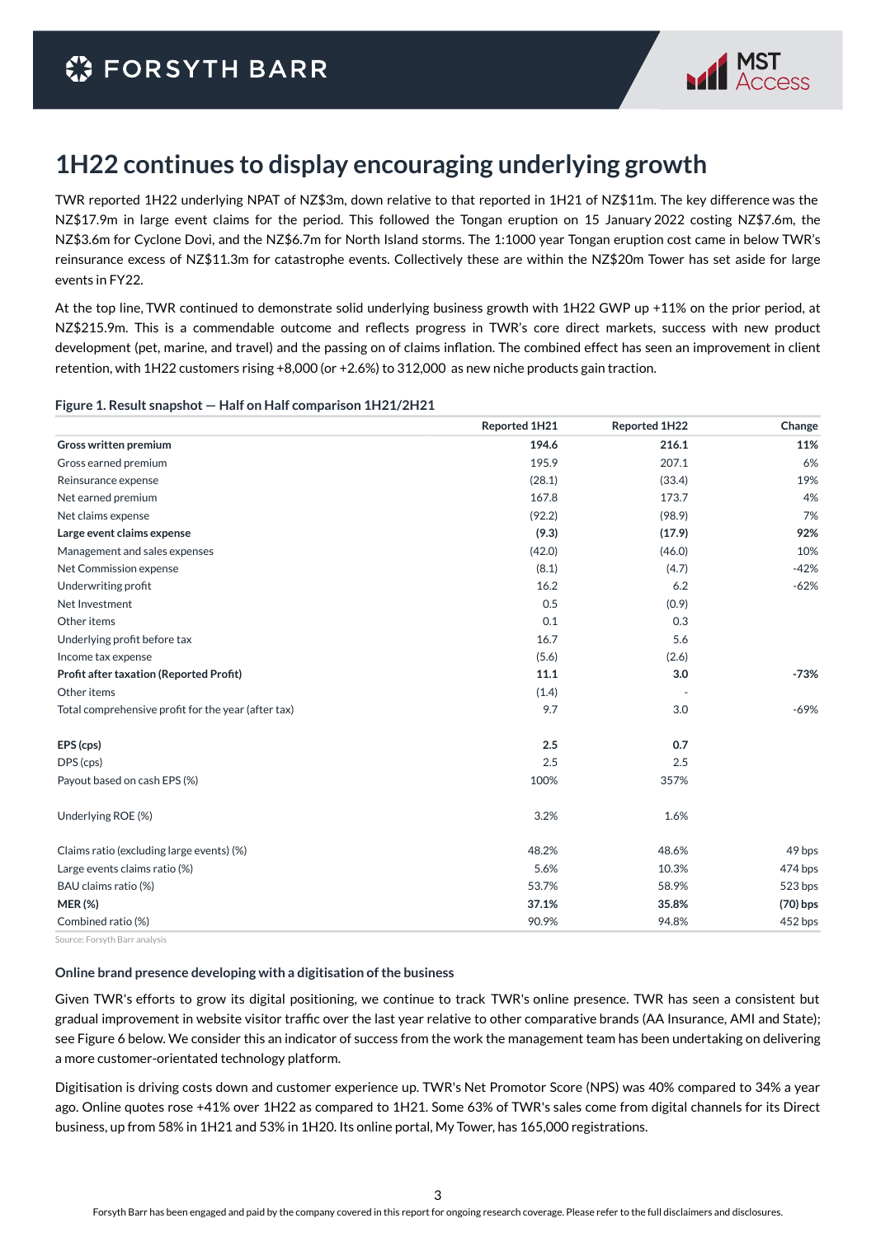

## **1H22 continues to display encouraging underlying growth**

TWR reported 1H22 underlying NPAT of NZ\$3m, down relative to that reported in 1H21 of NZ\$11m. The key difference was the NZ\$17.9m in large event claims for the period. This followed the Tongan eruption on 15 January 2022 costing NZ\$7.6m, the NZ\$3.6m for Cyclone Dovi, and the NZ\$6.7m for North Island storms. The 1:1000 year Tongan eruption cost came in below TWR's reinsurance excess of NZ\$11.3m for catastrophe events. Collectively these are within the NZ\$20m Tower has set aside for large events in FY22.

At the top line, TWR continued to demonstrate solid underlying business growth with 1H22 GWP up +11% on the prior period, at NZ\$215.9m. This is a commendable outcome and reflects progress in TWR's core direct markets, success with new product development (pet, marine, and travel) and the passing on of claims inflation. The combined effect has seen an improvement in client retention, with 1H22 customers rising +8,000 (or +2.6%) to 312,000 as new niche products gain traction.

#### **Figure 1. Result snapshot — Half on Half comparison 1H21/2H21**

|                                                     | Reported 1H21 | Reported 1H22 | Change     |
|-----------------------------------------------------|---------------|---------------|------------|
| Gross written premium                               | 194.6         | 216.1         | 11%        |
| Gross earned premium                                | 195.9         | 207.1         | 6%         |
| Reinsurance expense                                 | (28.1)        | (33.4)        | 19%        |
| Net earned premium                                  | 167.8         | 173.7         | 4%         |
| Net claims expense                                  | (92.2)        | (98.9)        | 7%         |
| Large event claims expense                          | (9.3)         | (17.9)        | 92%        |
| Management and sales expenses                       | (42.0)        | (46.0)        | 10%        |
| Net Commission expense                              | (8.1)         | (4.7)         | $-42%$     |
| Underwriting profit                                 | 16.2          | 6.2           | $-62%$     |
| Net Investment                                      | 0.5           | (0.9)         |            |
| Other items                                         | 0.1           | 0.3           |            |
| Underlying profit before tax                        | 16.7          | 5.6           |            |
| Income tax expense                                  | (5.6)         | (2.6)         |            |
| <b>Profit after taxation (Reported Profit)</b>      | 11.1          | 3.0           | $-73%$     |
| Other items                                         | (1.4)         |               |            |
| Total comprehensive profit for the year (after tax) | 9.7           | 3.0           | $-69%$     |
| EPS (cps)                                           | 2.5           | 0.7           |            |
| DPS (cps)                                           | 2.5           | 2.5           |            |
| Payout based on cash EPS (%)                        | 100%          | 357%          |            |
| Underlying ROE (%)                                  | 3.2%          | 1.6%          |            |
| Claims ratio (excluding large events) (%)           | 48.2%         | 48.6%         | 49 bps     |
| Large events claims ratio (%)                       | 5.6%          | 10.3%         | 474 bps    |
| BAU claims ratio (%)                                | 53.7%         | 58.9%         | 523 bps    |
| <b>MER (%)</b>                                      | 37.1%         | 35.8%         | $(70)$ bps |
| Combined ratio (%)                                  | 90.9%         | 94.8%         | 452 bps    |
|                                                     |               |               |            |

Source: Forsyth Barr analysis

#### **Online brand presence developing with a digitisation of the business**

Given TWR's efforts to grow its digital positioning, we continue to track TWR's online presence. TWR has seen a consistent but gradual improvement in website visitor traffic over the last year relative to other comparative brands (AA Insurance, AMI and State); see Figure 6 below. We consider this an indicator of success from the work the management team has been undertaking on delivering a more customer-orientated technology platform.

Digitisation is driving costs down and customer experience up. TWR's Net Promotor Score (NPS) was 40% compared to 34% a year ago. Online quotes rose +41% over 1H22 as compared to 1H21. Some 63% of TWR's sales come from digital channels for its Direct business, up from 58% in 1H21 and 53% in 1H20. Its online portal, My Tower, has 165,000 registrations.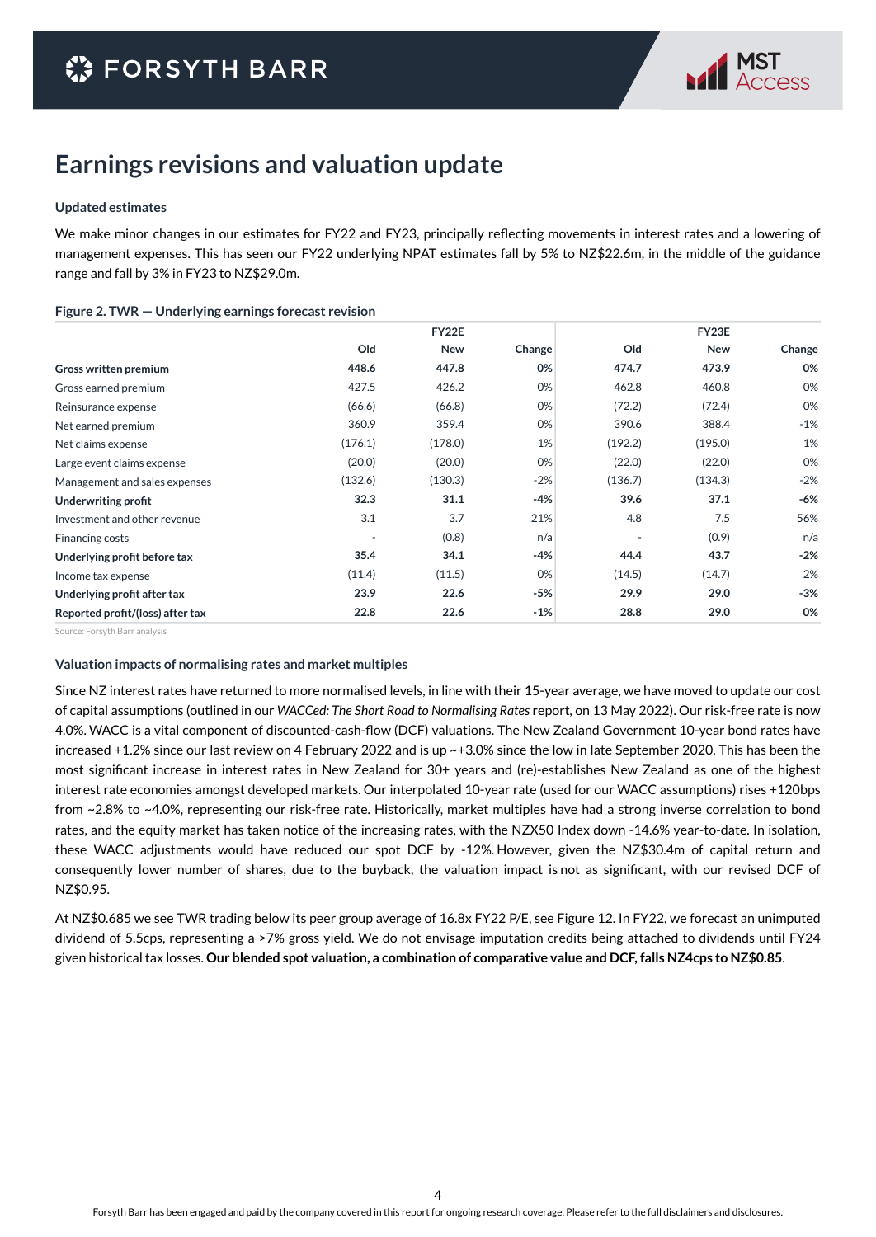

### **Earnings revisions and valuation update**

#### **Updated estimates**

We make minor changes in our estimates for FY22 and FY23, principally reflecting movements in interest rates and a lowering of management expenses. This has seen our FY22 underlying NPAT estimates fall by 5% to NZ\$22.6m, in the middle of the guidance range and fall by 3% in FY23 to NZ\$29.0m.

#### **Figure 2. TWR — Underlying earnings forecast revision**

|                                  | <b>FY22E</b> |            |        |         | FY23E      |        |  |
|----------------------------------|--------------|------------|--------|---------|------------|--------|--|
|                                  | Old          | <b>New</b> | Change | Old     | <b>New</b> | Change |  |
| Gross written premium            | 448.6        | 447.8      | 0%     | 474.7   | 473.9      | 0%     |  |
| Gross earned premium             | 427.5        | 426.2      | 0%     | 462.8   | 460.8      | 0%     |  |
| Reinsurance expense              | (66.6)       | (66.8)     | 0%     | (72.2)  | (72.4)     | 0%     |  |
| Net earned premium               | 360.9        | 359.4      | 0%     | 390.6   | 388.4      | $-1%$  |  |
| Net claims expense               | (176.1)      | (178.0)    | 1%     | (192.2) | (195.0)    | 1%     |  |
| Large event claims expense       | (20.0)       | (20.0)     | 0%     | (22.0)  | (22.0)     | 0%     |  |
| Management and sales expenses    | (132.6)      | (130.3)    | $-2%$  | (136.7) | (134.3)    | $-2%$  |  |
| <b>Underwriting profit</b>       | 32.3         | 31.1       | $-4%$  | 39.6    | 37.1       | -6%    |  |
| Investment and other revenue     | 3.1          | 3.7        | 21%    | 4.8     | 7.5        | 56%    |  |
| Financing costs                  |              | (0.8)      | n/a    |         | (0.9)      | n/a    |  |
| Underlying profit before tax     | 35.4         | 34.1       | $-4%$  | 44.4    | 43.7       | $-2%$  |  |
| Income tax expense               | (11.4)       | (11.5)     | 0%     | (14.5)  | (14.7)     | 2%     |  |
| Underlying profit after tax      | 23.9         | 22.6       | $-5%$  | 29.9    | 29.0       | $-3%$  |  |
| Reported profit/(loss) after tax | 22.8         | 22.6       | $-1%$  | 28.8    | 29.0       | 0%     |  |

Source: Forsyth Barr analysis

#### **Valuation impacts of normalising rates and market multiples**

Since NZ interest rates have returned to more normalised levels, in line with their 15-year average, we have moved to update our cost of capital assumptions (outlined in our *WACCed: The Short Road to Normalising Rates* report*,* on 13 May 2022). Our risk-free rate is now 4.0%. WACC is a vital component of discounted-cash-flow (DCF) valuations. The New Zealand Government 10-year bond rates have increased +1.2% since our last review on 4 February 2022 and is up ~+3.0% since the low in late September 2020. This has been the most significant increase in interest rates in New Zealand for 30+ years and (re)-establishes New Zealand as one of the highest interest rate economies amongst developed markets. Our interpolated 10-year rate (used for our WACC assumptions) rises +120bps from ~2.8% to ~4.0%, representing our risk-free rate. Historically, market multiples have had a strong inverse correlation to bond rates, and the equity market has taken notice of the increasing rates, with the NZX50 Index down -14.6% year-to-date. In isolation, these WACC adjustments would have reduced our spot DCF by -12%. However, given the NZ\$30.4m of capital return and consequently lower number of shares, due to the buyback, the valuation impact is not as significant, with our revised DCF of NZ\$0.95.

At NZ\$0.685 we see TWR trading below its peer group average of 16.8x FY22 P/E, see Figure 12. In FY22, we forecast an unimputed dividend of 5.5cps, representing a >7% gross yield. We do not envisage imputation credits being attached to dividends until FY24 given historical tax losses. **Our blended spot valuation, a combination of comparative value and DCF, falls NZ4cps to NZ\$0.85**.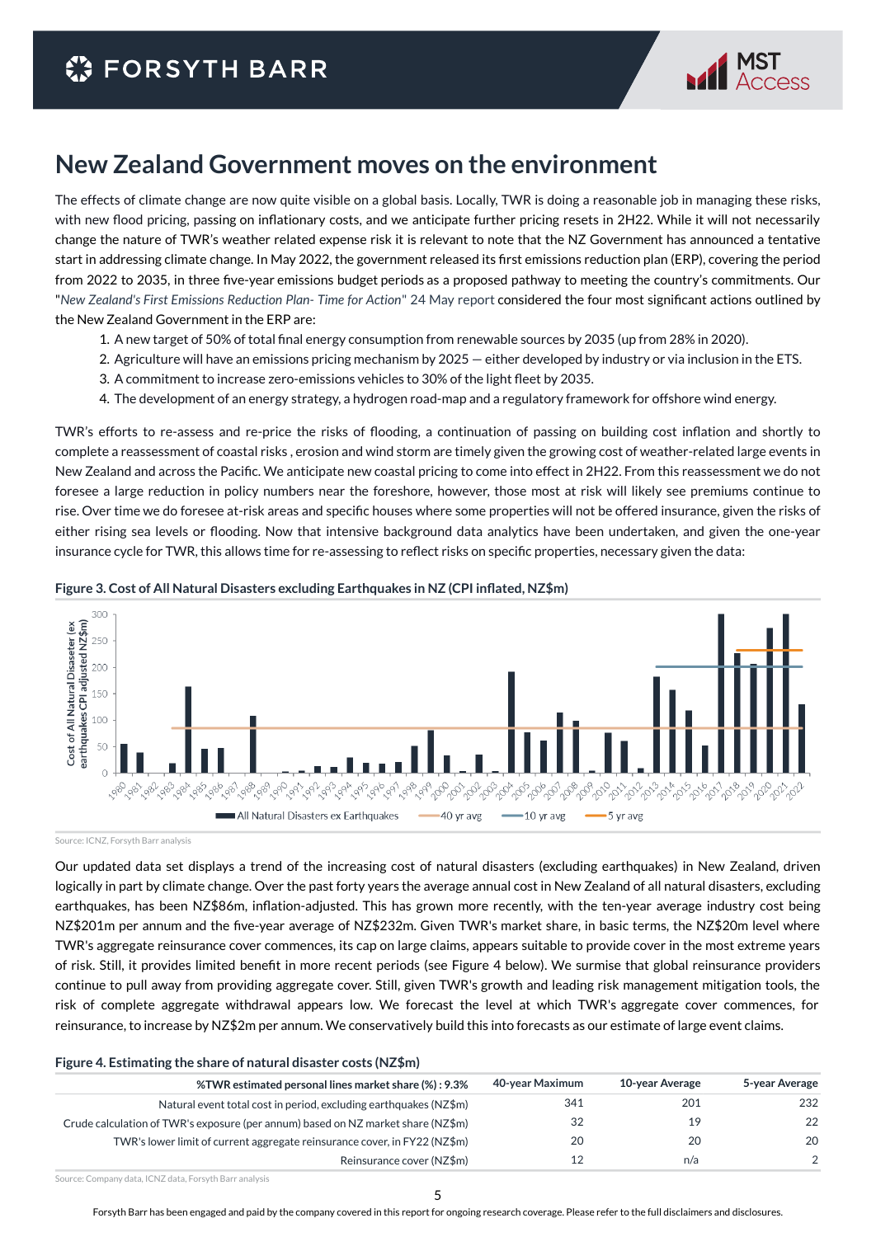

### **New Zealand Government moves on the environment**

The effects of climate change are now quite visible on a global basis. Locally, TWR is doing a reasonable job in managing these risks, with new flood pricing, passing on inflationary costs, and we anticipate further pricing resets in 2H22. While it will not necessarily change the nature of TWR's weather related expense risk it is relevant to note that the NZ Government has announced a tentative start in addressing climate change. In May 2022, the government released its first emissions reduction plan (ERP), covering the period from 2022 to 2035, in three five-year emissions budget periods as a proposed pathway to meeting the country's commitments. Our "*New Zealand's First Emissions Reduction Plan- Time for Action*" 24 May report considered the four most significant actions outlined by the New Zealand Government in the ERP are:

- 1. A new target of 50% of total final energy consumption from renewable sources by 2035 (up from 28% in 2020).
- 2. Agriculture will have an emissions pricing mechanism by 2025 either developed by industry or via inclusion in the ETS.
- 3. A commitment to increase zero-emissions vehicles to 30% of the light fleet by 2035.
- 4. The development of an energy strategy, a hydrogen road-map and a regulatory framework for offshore wind energy.

TWR's efforts to re-assess and re-price the risks of flooding, a continuation of passing on building cost inflation and shortly to complete a reassessment of coastal risks , erosion and wind storm are timely given the growing cost of weather-related large events in New Zealand and across the Pacific. We anticipate new coastal pricing to come into effect in 2H22. From this reassessment we do not foresee a large reduction in policy numbers near the foreshore, however, those most at risk will likely see premiums continue to rise. Over time we do foresee at-risk areas and specific houses where some properties will not be offered insurance, given the risks of either rising sea levels or flooding. Now that intensive background data analytics have been undertaken, and given the one-year insurance cycle for TWR, this allows time for re-assessing to reflect risks on specific properties, necessary given the data:



#### **Figure 3. Cost of All Natural Disasters excluding Earthquakes in NZ (CPI inflated, NZ\$m)**

Source: ICNZ, Forsyth Barr analysis

Our updated data set displays a trend of the increasing cost of natural disasters (excluding earthquakes) in New Zealand, driven logically in part by climate change. Over the past forty years the average annual cost in New Zealand of all natural disasters, excluding earthquakes, has been NZ\$86m, inflation-adjusted. This has grown more recently, with the ten-year average industry cost being NZ\$201m per annum and the five-year average of NZ\$232m. Given TWR's market share, in basic terms, the NZ\$20m level where TWR's aggregate reinsurance cover commences, its cap on large claims, appears suitable to provide cover in the most extreme years of risk. Still, it provides limited benefit in more recent periods (see Figure 4 below). We surmise that global reinsurance providers continue to pull away from providing aggregate cover. Still, given TWR's growth and leading risk management mitigation tools, the risk of complete aggregate withdrawal appears low. We forecast the level at which TWR's aggregate cover commences, for reinsurance, to increase by NZ\$2m per annum. We conservatively build this into forecasts as our estimate of large event claims.

#### **Figure 4. Estimating the share of natural disaster costs (NZ\$m)**

| %TWR estimated personal lines market share (%): 9.3%                             | 40-year Maximum | 10-year Average | 5-year Average |
|----------------------------------------------------------------------------------|-----------------|-----------------|----------------|
| Natural event total cost in period, excluding earthquakes (NZ\$m)                | 341             | 201             | 232            |
| Crude calculation of TWR's exposure (per annum) based on NZ market share (NZ\$m) | 32              | 19              | 22             |
| TWR's lower limit of current aggregate reinsurance cover, in FY22 (NZ\$m)        | 20              | 20              | 20             |
| Reinsurance cover (NZ\$m)                                                        |                 | n/a             | $\mathcal{P}$  |

Source: Company data, ICNZ data, Forsyth Barr analysis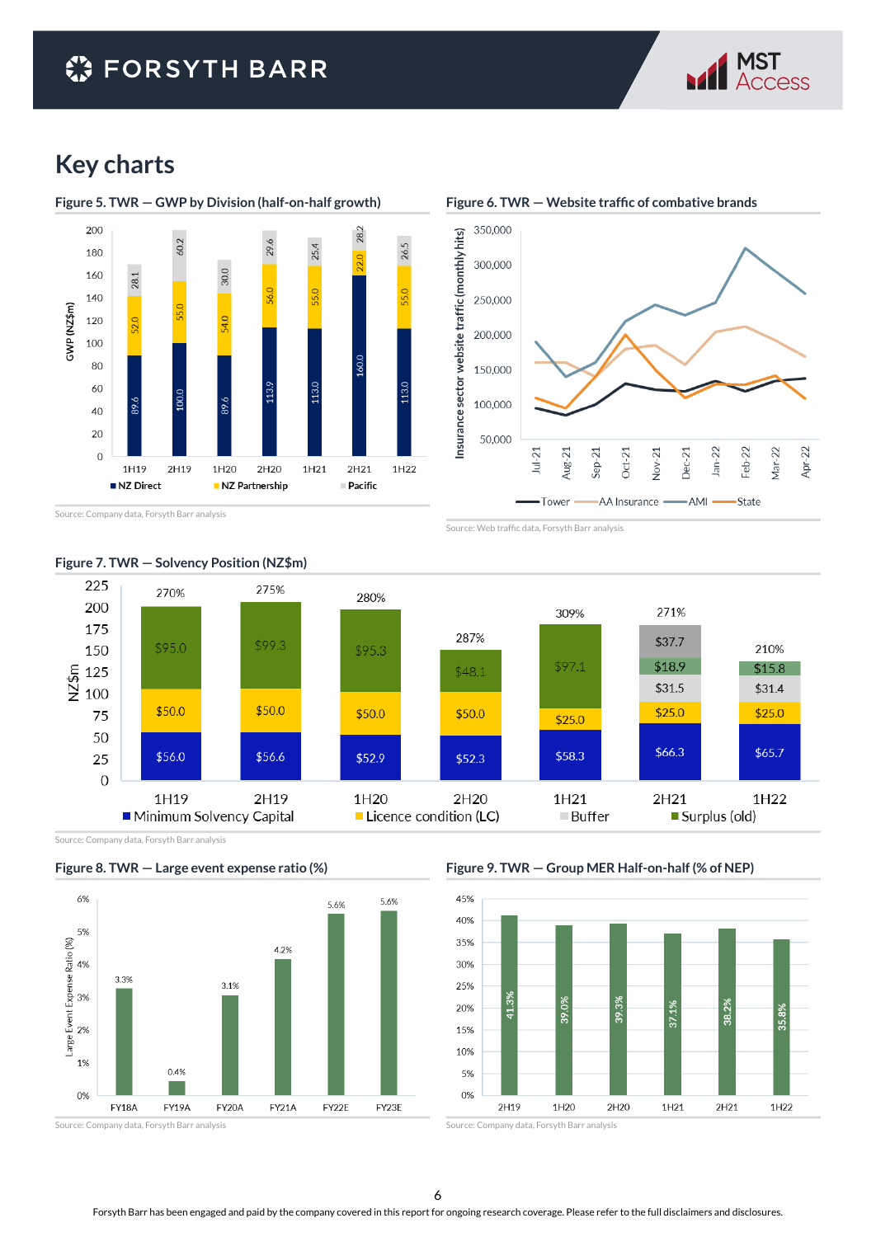# **C** FORSYTH BARR



# **Key charts**





Source: Company data, Forsyth Barr analysis



**Figure 6. TWR — Website traffic of combative brands**

Source: Web traffic data, Forsyth Barr analysis



#### **Figure 7. TWR — Solvency Position (NZ\$m)**

Source: Company data, Forsyth Barr analysis





**Figure 9. TWR — Group MER Half-on-half (% of NEP)**



Source: Company data, Forsyth Barr analysis

6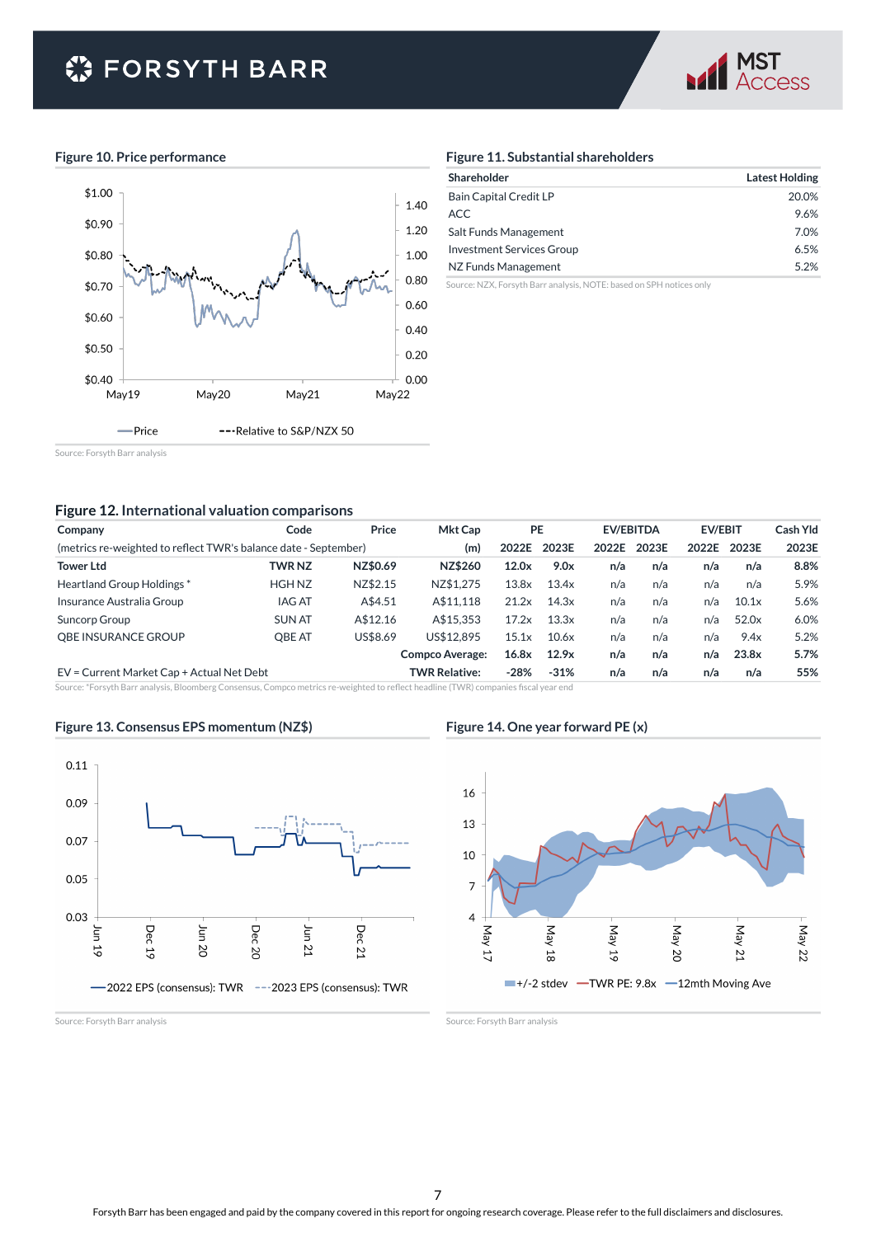# **● FORSYTH BARR**



#### **Figure 10. Price performance**



#### **Figure 11. Substantial shareholders**

| Shareholder               | <b>Latest Holding</b> |
|---------------------------|-----------------------|
| Bain Capital Credit LP    | 20.0%                 |
| <b>ACC</b>                | 9.6%                  |
| Salt Funds Management     | 7.0%                  |
| Investment Services Group | 6.5%                  |
| NZ Funds Management       | 5.2%                  |

Source: NZX, Forsyth Barr analysis, NOTE: based on SPH notices only

Source: Forsyth Barr analysis

#### **Figure 12. International valuation comparisons**

| Company                                                         | Code          | Price    | <b>Mkt Cap</b>         | <b>PE</b> |        |       | <b>EV/EBITDA</b> | <b>EV/EBIT</b> |       | Cash Yld |
|-----------------------------------------------------------------|---------------|----------|------------------------|-----------|--------|-------|------------------|----------------|-------|----------|
| (metrics re-weighted to reflect TWR's balance date - September) |               |          | (m)                    | 2022E     | 2023E  | 2022E | 2023E            | 2022E          | 2023E | 2023E    |
| <b>Tower Ltd</b>                                                | <b>TWR NZ</b> | NZ\$0.69 | NZ\$260                | 12.0x     | 9.0x   | n/a   | n/a              | n/a            | n/a   | 8.8%     |
| Heartland Group Holdings*                                       | <b>HGH NZ</b> | NZ\$2.15 | NZ\$1.275              | 13.8x     | 13.4x  | n/a   | n/a              | n/a            | n/a   | 5.9%     |
| Insurance Australia Group                                       | <b>IAG AT</b> | A\$4.51  | A\$11.118              | 21.2x     | 14.3x  | n/a   | n/a              | n/a            | 10.1x | 5.6%     |
| Suncorp Group                                                   | <b>SUN AT</b> | A\$12.16 | A\$15.353              | 17.2x     | 13.3x  | n/a   | n/a              | n/a            | 52.0x | 6.0%     |
| OBE INSURANCE GROUP                                             | OBE AT        | US\$8.69 | US\$12.895             | 15.1x     | 10.6x  | n/a   | n/a              | n/a            | 9.4x  | 5.2%     |
|                                                                 |               |          | <b>Compco Average:</b> | 16.8x     | 12.9x  | n/a   | n/a              | n/a            | 23.8x | 5.7%     |
| EV = Current Market Cap + Actual Net Debt                       |               |          | <b>TWR Relative:</b>   | $-28%$    | $-31%$ | n/a   | n/a              | n/a            | n/a   | 55%      |

Source: \*Forsyth Barr analysis, Bloomberg Consensus, Compco metrics re-weighted to reflect headline (TWR) companies fiscal year end

#### **Figure 13. Consensus EPS momentum (NZ\$)**



**Figure 14. One year forward PE (x)**



Source: Forsyth Barr analysis

Source: Forsyth Barr analysis